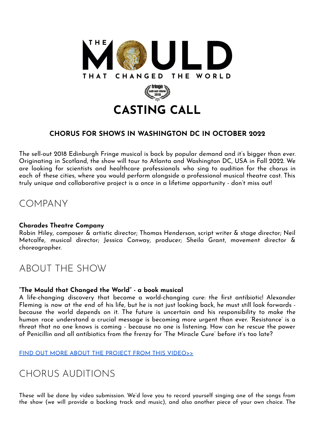

### **CHORUS FOR SHOWS IN WASHINGTON DC IN OCTOBER 2022**

The sell-out 2018 Edinburgh Fringe musical is back by popular demand and it's bigger than ever. Originating in Scotland, the show will tour to Atlanta and Washington DC, USA in Fall 2022. We are looking for scientists and healthcare professionals who sing to audition for the chorus in each of these cities, where you would perform alongside a professional musical theatre cast. This truly unique and collaborative project is a once in a lifetime opportunity - don't miss out!

### COMPANY

#### **Charades Theatre Company**

Robin Hiley, composer & artistic director; Thomas Henderson, script writer & stage director; Neil Metcalfe, musical director; Jessica Conway, producer; Sheila Grant, movement director & choreographer.

# ABOUT THE SHOW

#### **"The Mould that Changed the World" - a book musical**

A life-changing discovery that became a world-changing cure: the first antibiotic! Alexander Fleming is now at the end of his life, but he is not just looking back, he must still look forwards because the world depends on it. The future is uncertain and his responsibility to make the human race understand a crucial message is becoming more urgent than ever. 'Resistance' is a threat that no one knows is coming - because no one is listening. How can he rescue the power of Penicillin and all antibiotics from the frenzy for 'The Miracle Cure' before it's too late?

FIND OUT MORE ABOUT THE PROJECT FROM THIS [VIDEO>>](https://vimeo.com/684803928)

# CHORUS AUDITIONS

These will be done by video submission. We'd love you to record yourself singing one of the songs from the show (we will provide a backing track and music), and also another piece of your own choice. The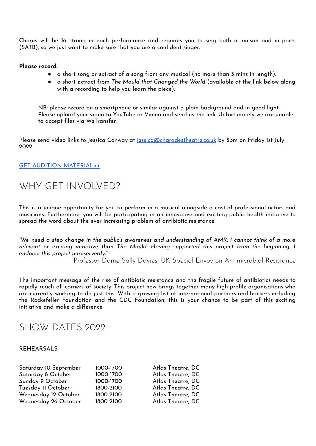Chorus will be 16 strong in each performance and requires you to sing both in unison and in parts (SATB), so we just want to make sure that you are a confident singer.

#### **Please record:**

- a short song or extract of a song from any musical (no more than 3 mins in length).
- a short extract from *The Mould that Changed the World* (available at the link below along with a recording to help you learn the piece).

NB: please record on a smartphone or similar against a plain background and in good light. Please upload your video to YouTube or Vimeo and send us the link. Unfortunately we are unable to accept files via WeTransfer.

Please send video links to Jessica Conway at [jessica@charadestheatre.co.uk](mailto:jessica@charadestheatre.co.uk) by 5pm on Friday 1st July 2022.

#### GET AUDITION [MATERIAL>>](https://drive.google.com/drive/folders/16izUkGhHGL558_5bpttRPAZWO0JLVpD7?usp=sharing)

### WHY GET INVOLVED?

This is a unique opportunity for you to perform in a musical alongside a cast of professional actors and musicians. Furthermore, you will be participating in an innovative and exciting public health initiative to spread the word about the ever increasing problem of antibiotic resistance.

"We need a step change in the public's awareness and understanding of AMR. I cannot think of a more *relevant or exciting initiative than The Mould. Having supported this project from the beginning, I endorse this project unreservedly."*

Professor Dame Sally Davies, UK Special Envoy on Antimicrobial Resistance

The important message of the rise of antibiotic resistance and the fragile future of antibiotics needs to rapidly reach all corners of society. This project now brings together many high profile organisations who are currently working to do just this. With a growing list of international partners and backers including the Rockefeller Foundation and the CDC Foundation, this is your chance to be part of this exciting initiative and make a difference.

### SHOW DATES 2022

#### REHEARSALS

| Saturday 10 September | 1000-1700 | Atlas Theatre, DC |
|-----------------------|-----------|-------------------|
|                       |           |                   |
| Saturday 8 October    | 1000-1700 | Atlas Theatre, DC |
| Sunday 9 October      | 1000-1700 | Atlas Theatre, DC |
| Tuesday 11 October    | 1800-2100 | Atlas Theatre, DC |
| Wednesday 12 October  | 1800-2100 | Atlas Theatre, DC |
| Wednesday 26 October  | 1800-2100 | Atlas Theatre, DC |